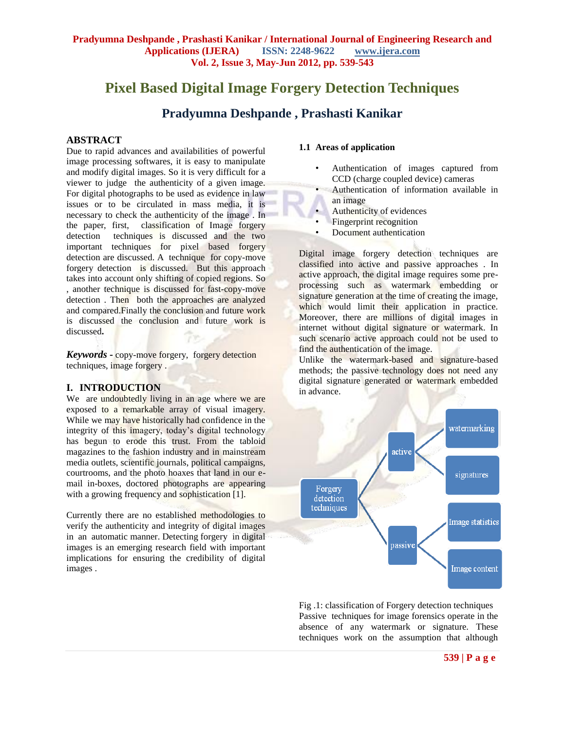# **Pixel Based Digital Image Forgery Detection Techniques**

# **Pradyumna Deshpande , Prashasti Kanikar**

#### **ABSTRACT**

Due to rapid advances and availabilities of powerful image processing softwares, it is easy to manipulate and modify digital images. So it is very difficult for a viewer to judge the authenticity of a given image. For digital photographs to be used as evidence in law issues or to be circulated in mass media, it is necessary to check the authenticity of the image . In the paper, first, classification of Image forgery detection techniques is discussed and the two important techniques for pixel based forgery detection are discussed. A technique for copy-move forgery detection is discussed. But this approach takes into account only shifting of copied regions. So , another technique is discussed for fast-copy-move detection . Then both the approaches are analyzed and compared.Finally the conclusion and future work is discussed the conclusion and future work is discussed**.**

*Keywords* **-** copy-move forgery, forgery detection techniques, image forgery .

#### **I. INTRODUCTION**

We are undoubtedly living in an age where we are exposed to a remarkable array of visual imagery. While we may have historically had confidence in the integrity of this imagery, today's digital technology has begun to erode this trust. From the tabloid magazines to the fashion industry and in mainstream media outlets, scientific journals, political campaigns, courtrooms, and the photo hoaxes that land in our email in-boxes, doctored photographs are appearing with a growing frequency and sophistication [1].

Currently there are no established methodologies to verify the authenticity and integrity of digital images in an automatic manner. Detecting forgery in digital images is an emerging research field with important implications for ensuring the credibility of digital images .

#### **1.1 Areas of application**

- Authentication of images captured from CCD (charge coupled device) cameras
- Authentication of information available in an image
- Authenticity of evidences
- Fingerprint recognition
- Document authentication

Digital image forgery detection techniques are classified into active and passive approaches . In active approach, the digital image requires some preprocessing such as watermark embedding or signature generation at the time of creating the image, which would limit their application in practice. Moreover, there are millions of digital images in internet without digital signature or watermark. In such scenario active approach could not be used to find the authentication of the image.

Unlike the watermark-based and signature-based methods; the passive technology does not need any digital signature generated or watermark embedded in advance.



Fig .1: classification of Forgery detection techniques Passive techniques for image forensics operate in the absence of any watermark or signature. These techniques work on the assumption that although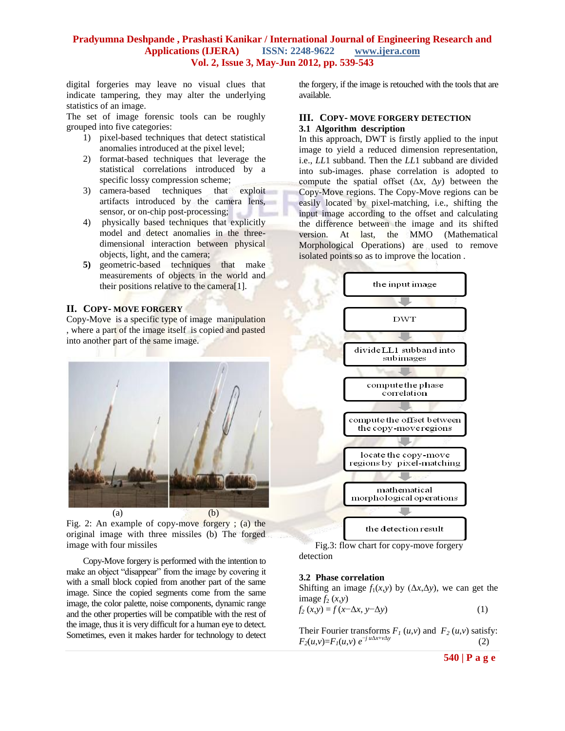digital forgeries may leave no visual clues that indicate tampering, they may alter the underlying statistics of an image.

The set of image forensic tools can be roughly grouped into five categories:

- 1) pixel-based techniques that detect statistical anomalies introduced at the pixel level;
- 2) format-based techniques that leverage the statistical correlations introduced by a specific lossy compression scheme;
- 3) camera-based techniques that exploit artifacts introduced by the camera lens, sensor, or on-chip post-processing;
- 4) physically based techniques that explicitly model and detect anomalies in the threedimensional interaction between physical objects, light, and the camera;
- **5)** geometric-based techniques that make measurements of objects in the world and their positions relative to the camera[1].

#### **II. COPY- MOVE FORGERY**

Copy-Move is a specific type of image manipulation , where a part of the image itself is copied and pasted into another part of the same image.



Fig. 2: An example of copy-move forgery ; (a) the original image with three missiles (b) The forged image with four missiles

Copy-Move forgery is performed with the intention to make an object "disappear" from the image by covering it with a small block copied from another part of the same image. Since the copied segments come from the same image, the color palette, noise components, dynamic range and the other properties will be compatible with the rest of the image, thus it is very difficult for a human eye to detect. Sometimes, even it makes harder for technology to detect the forgery, if the image is retouched with the tools that are available.

#### **III. COPY- MOVE FORGERY DETECTION 3.1 Algorithm description**

In this approach, DWT is firstly applied to the input image to yield a reduced dimension representation, i.e., *LL*1 subband. Then the *LL*1 subband are divided into sub-images. phase correlation is adopted to compute the spatial offset (Δ*x*, Δ*y*) between the Copy-Move regions. The Copy-Move regions can be easily located by pixel-matching, i.e., shifting the input image according to the offset and calculating the difference between the image and its shifted version. At last, the MMO (Mathematical Morphological Operations) are used to remove isolated points so as to improve the location .



 Fig.3: flow chart for copy-move forgery detection

#### **3.2 Phase correlation**

Shifting an image  $f_1(x, y)$  by  $(\Delta x, \Delta y)$ , we can get the image  $f_2(x,y)$ 

$$
f_2(x,y) = f(x-\Delta x, y-\Delta y)
$$
 (1)

Their Fourier transforms  $F_I(u, v)$  and  $F_2(u, v)$  satisfy:  $F_2(u,v) = F_1(u,v) e^{-j u \Delta x + v \Delta y}$ (2)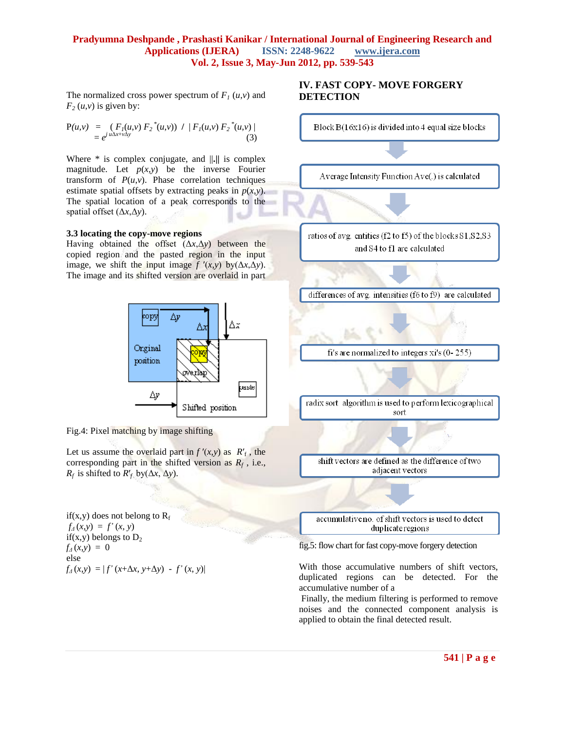The normalized cross power spectrum of  $F_I(u,v)$  and  $F_2(u,v)$  is given by:

$$
P(u,v) = (F_1(u,v) F_2^*(u,v)) / |F_1(u,v) F_2^*(u,v)|
$$
  
=  $e^{j \frac{u \Delta x + v \Delta y}{}} (3)$ 

Where \* is complex conjugate, and ||**.||** is complex magnitude. Let  $p(x,y)$  be the inverse Fourier transform of  $P(u, v)$ . Phase correlation techniques estimate spatial offsets by extracting peaks in  $p(x, y)$ . The spatial location of a peak corresponds to the spatial offset (Δ*x*,Δ*y*).

#### **3.3 locating the copy-move regions**

Having obtained the offset (Δ*x*,Δ*y*) between the copied region and the pasted region in the input image, we shift the input image  $f'(x,y)$  by( $\Delta x, \Delta y$ ). The image and its shifted version are overlaid in part



Fig.4: Pixel matching by image shifting

Let us assume the overlaid part in  $f'(x,y)$  as  $R'_f$ , the corresponding part in the shifted version as  $R_f$ , i.e., *R*<sup>*f*</sup> is shifted to *R'*<sup>*f*</sup> by( $\Delta x$ ,  $\Delta y$ ).

if(x,y) does not belong to  $R_f$  $f_4(x, y) = f'(x, y)$ if(x,y) belongs to  $D_2$  $f_4(x,y) = 0$ else  $f_A(x,y) = |f'(x+\Delta x, y+\Delta y) - f'(x, y)|$ 

# **IV. FAST COPY- MOVE FORGERY DETECTION**



fig.5: flow chart for fast copy-move forgery detection

With those accumulative numbers of shift vectors, duplicated regions can be detected. For the accumulative number of a

Finally, the medium filtering is performed to remove noises and the connected component analysis is applied to obtain the final detected result.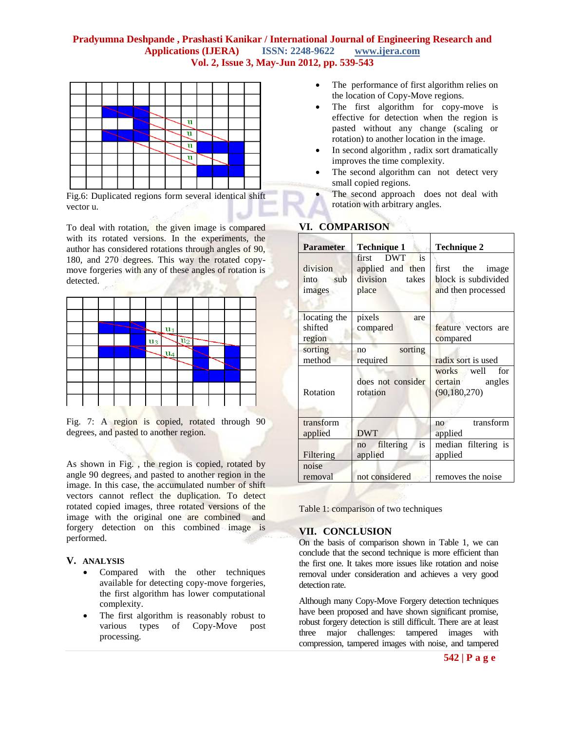

Fig.6: Duplicated regions form several identical shift vector u.

To deal with rotation, the given image is compared with its rotated versions. In the experiments, the author has considered rotations through angles of 90, 180, and 270 degrees. This way the rotated copymove forgeries with any of these angles of rotation is detected.

|  |  | ≂              | $\mathbf{u}_1$      |                  |  |   |  |
|--|--|----------------|---------------------|------------------|--|---|--|
|  |  | $\mathbf{u}_3$ | -                   | $\mathbf{u}_2^-$ |  | - |  |
|  |  |                | $\mathbf{u}_4$<br>- |                  |  |   |  |
|  |  |                |                     |                  |  |   |  |
|  |  |                |                     |                  |  |   |  |
|  |  |                |                     |                  |  |   |  |
|  |  |                |                     |                  |  |   |  |

Fig. 7: A region is copied, rotated through 90 degrees, and pasted to another region.

As shown in Fig. , the region is copied, rotated by angle 90 degrees, and pasted to another region in the image. In this case, the accumulated number of shift vectors cannot reflect the duplication. To detect rotated copied images, three rotated versions of the image with the original one are combined and forgery detection on this combined image is performed.

# **V. ANALYSIS**

- Compared with the other techniques available for detecting copy-move forgeries, the first algorithm has lower computational complexity.
- The first algorithm is reasonably robust to various types of Copy-Move post processing.
- The performance of first algorithm relies on the location of Copy-Move regions.
- The first algorithm for copy-move is effective for detection when the region is pasted without any change (scaling or rotation) to another location in the image.
- In second algorithm , radix sort dramatically improves the time complexity.
- The second algorithm can not detect very small copied regions.
- The second approach does not deal with rotation with arbitrary angles.

| <b>Parameter</b>                  | <b>Technique 1</b>                                                          | Technique 2                                                     |  |  |  |
|-----------------------------------|-----------------------------------------------------------------------------|-----------------------------------------------------------------|--|--|--|
| division<br>sub<br>into<br>images | <b>DWT</b><br>is<br>first<br>applied and then<br>division<br>takes<br>place | first the<br>image<br>block is subdivided<br>and then processed |  |  |  |
| locating the<br>shifted<br>region | pixels<br>are<br>compared                                                   | feature vectors are<br>compared                                 |  |  |  |
| sorting<br>method                 | sorting<br>no<br>required                                                   | radix sort is used                                              |  |  |  |
| Rotation                          | does not consider<br>rotation                                               | works well<br>for<br>certain<br>angles<br>(90, 180, 270)        |  |  |  |
| transform<br>applied              | <b>DWT</b>                                                                  | transform<br>no<br>applied                                      |  |  |  |
| Filtering                         | is<br>filtering<br>no<br>applied                                            | median filtering is<br>applied                                  |  |  |  |
| noise<br>removal                  | not considered                                                              | removes the noise                                               |  |  |  |

# **VI. COMPARISON**

Table 1: comparison of two techniques

# **VII. CONCLUSION**

On the basis of comparison shown in Table 1, we can conclude that the second technique is more efficient than the first one. It takes more issues like rotation and noise removal under consideration and achieves a very good detection rate.

Although many Copy-Move Forgery detection techniques have been proposed and have shown significant promise. robust forgery detection is still difficult. There are at least three major challenges: tampered images with compression, tampered images with noise, and tampered